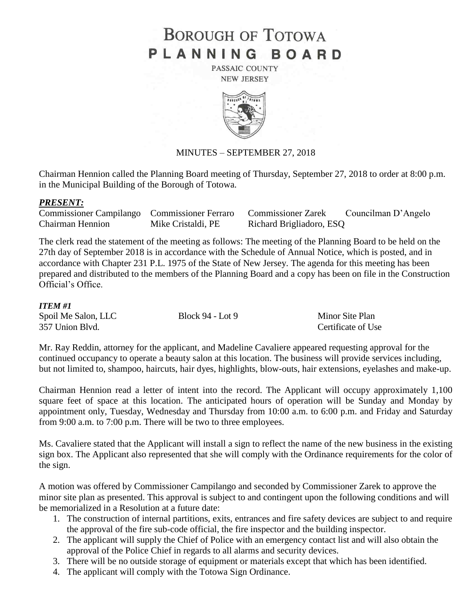# **BOROUGH OF TOTOWA** PLANNING BOARD

PASSAIC COUNTY **NEW JERSEY** 



# MINUTES – SEPTEMBER 27, 2018

Chairman Hennion called the Planning Board meeting of Thursday, September 27, 2018 to order at 8:00 p.m. in the Municipal Building of the Borough of Totowa.

### *PRESENT:*

Commissioner Campilango Commissioner Ferraro Commissioner Zarek Councilman D'Angelo Chairman Hennion Mike Cristaldi, PE Richard Brigliadoro, ESQ

The clerk read the statement of the meeting as follows: The meeting of the Planning Board to be held on the 27th day of September 2018 is in accordance with the Schedule of Annual Notice, which is posted, and in accordance with Chapter 231 P.L. 1975 of the State of New Jersey. The agenda for this meeting has been prepared and distributed to the members of the Planning Board and a copy has been on file in the Construction Official's Office.

#### *ITEM #1*

| Spoil Me Salon, LLC | Block 94 - Lot 9 | Minor Site Plan    |
|---------------------|------------------|--------------------|
| 357 Union Blvd.     |                  | Certificate of Use |

Mr. Ray Reddin, attorney for the applicant, and Madeline Cavaliere appeared requesting approval for the continued occupancy to operate a beauty salon at this location. The business will provide services including, but not limited to, shampoo, haircuts, hair dyes, highlights, blow-outs, hair extensions, eyelashes and make-up.

Chairman Hennion read a letter of intent into the record. The Applicant will occupy approximately 1,100 square feet of space at this location. The anticipated hours of operation will be Sunday and Monday by appointment only, Tuesday, Wednesday and Thursday from 10:00 a.m. to 6:00 p.m. and Friday and Saturday from 9:00 a.m. to 7:00 p.m. There will be two to three employees.

Ms. Cavaliere stated that the Applicant will install a sign to reflect the name of the new business in the existing sign box. The Applicant also represented that she will comply with the Ordinance requirements for the color of the sign.

A motion was offered by Commissioner Campilango and seconded by Commissioner Zarek to approve the minor site plan as presented. This approval is subject to and contingent upon the following conditions and will be memorialized in a Resolution at a future date:

- 1. The construction of internal partitions, exits, entrances and fire safety devices are subject to and require the approval of the fire sub-code official, the fire inspector and the building inspector.
- 2. The applicant will supply the Chief of Police with an emergency contact list and will also obtain the approval of the Police Chief in regards to all alarms and security devices.
- 3. There will be no outside storage of equipment or materials except that which has been identified.
- 4. The applicant will comply with the Totowa Sign Ordinance.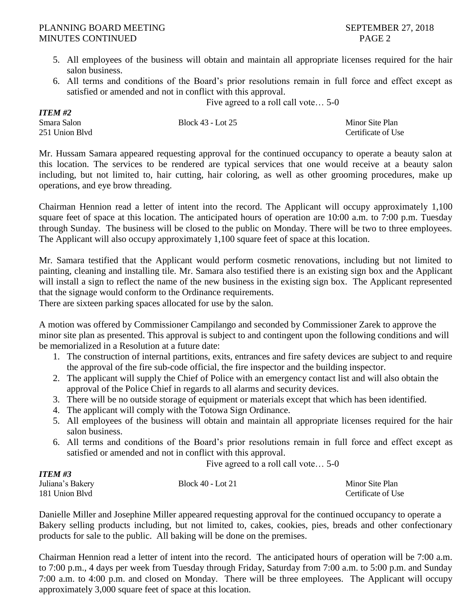*ITEM #2*

- 5. All employees of the business will obtain and maintain all appropriate licenses required for the hair salon business.
- 6. All terms and conditions of the Board's prior resolutions remain in full force and effect except as satisfied or amended and not in conflict with this approval.

Five agreed to a roll call vote… 5-0

| Block 43 - Lot 25 | Minor Site Plan    |
|-------------------|--------------------|
|                   | Certificate of Use |
|                   |                    |

Mr. Hussam Samara appeared requesting approval for the continued occupancy to operate a beauty salon at this location. The services to be rendered are typical services that one would receive at a beauty salon including, but not limited to, hair cutting, hair coloring, as well as other grooming procedures, make up operations, and eye brow threading.

Chairman Hennion read a letter of intent into the record. The Applicant will occupy approximately 1,100 square feet of space at this location. The anticipated hours of operation are 10:00 a.m. to 7:00 p.m. Tuesday through Sunday. The business will be closed to the public on Monday. There will be two to three employees. The Applicant will also occupy approximately 1,100 square feet of space at this location.

Mr. Samara testified that the Applicant would perform cosmetic renovations, including but not limited to painting, cleaning and installing tile. Mr. Samara also testified there is an existing sign box and the Applicant will install a sign to reflect the name of the new business in the existing sign box. The Applicant represented that the signage would conform to the Ordinance requirements.

There are sixteen parking spaces allocated for use by the salon.

A motion was offered by Commissioner Campilango and seconded by Commissioner Zarek to approve the minor site plan as presented. This approval is subject to and contingent upon the following conditions and will be memorialized in a Resolution at a future date:

- 1. The construction of internal partitions, exits, entrances and fire safety devices are subject to and require the approval of the fire sub-code official, the fire inspector and the building inspector.
- 2. The applicant will supply the Chief of Police with an emergency contact list and will also obtain the approval of the Police Chief in regards to all alarms and security devices.
- 3. There will be no outside storage of equipment or materials except that which has been identified.
- 4. The applicant will comply with the Totowa Sign Ordinance.
- 5. All employees of the business will obtain and maintain all appropriate licenses required for the hair salon business.
- 6. All terms and conditions of the Board's prior resolutions remain in full force and effect except as satisfied or amended and not in conflict with this approval.

Five agreed to a roll call vote… 5-0

| ITEM #3          |                   |                    |
|------------------|-------------------|--------------------|
| Juliana's Bakery | Block 40 - Lot 21 | Minor Site Plan    |
| 181 Union Blvd   |                   | Certificate of Use |

Danielle Miller and Josephine Miller appeared requesting approval for the continued occupancy to operate a Bakery selling products including, but not limited to, cakes, cookies, pies, breads and other confectionary products for sale to the public. All baking will be done on the premises.

Chairman Hennion read a letter of intent into the record. The anticipated hours of operation will be 7:00 a.m. to 7:00 p.m., 4 days per week from Tuesday through Friday, Saturday from 7:00 a.m. to 5:00 p.m. and Sunday 7:00 a.m. to 4:00 p.m. and closed on Monday. There will be three employees. The Applicant will occupy approximately 3,000 square feet of space at this location.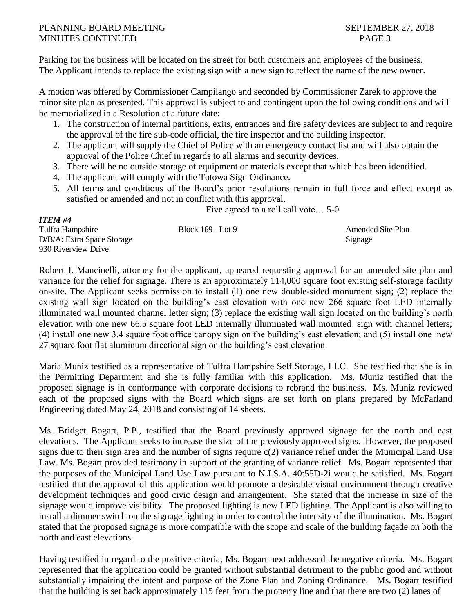# PLANNING BOARD MEETING SEPTEMBER 27, 2018 MINUTES CONTINUED PAGE 3

*ITEM #4*

Parking for the business will be located on the street for both customers and employees of the business. The Applicant intends to replace the existing sign with a new sign to reflect the name of the new owner.

A motion was offered by Commissioner Campilango and seconded by Commissioner Zarek to approve the minor site plan as presented. This approval is subject to and contingent upon the following conditions and will be memorialized in a Resolution at a future date:

- 1. The construction of internal partitions, exits, entrances and fire safety devices are subject to and require the approval of the fire sub-code official, the fire inspector and the building inspector.
- 2. The applicant will supply the Chief of Police with an emergency contact list and will also obtain the approval of the Police Chief in regards to all alarms and security devices.
- 3. There will be no outside storage of equipment or materials except that which has been identified.
- 4. The applicant will comply with the Totowa Sign Ordinance.
- 5. All terms and conditions of the Board's prior resolutions remain in full force and effect except as satisfied or amended and not in conflict with this approval.

Five agreed to a roll call vote… 5-0

| <b>Amended Site Plan</b> |
|--------------------------|
| Signage                  |
|                          |
| Block 169 - Lot 9        |

Robert J. Mancinelli, attorney for the applicant, appeared requesting approval for an amended site plan and variance for the relief for signage. There is an approximately 114,000 square foot existing self-storage facility on-site. The Applicant seeks permission to install (1) one new double-sided monument sign; (2) replace the existing wall sign located on the building's east elevation with one new 266 square foot LED internally illuminated wall mounted channel letter sign; (3) replace the existing wall sign located on the building's north elevation with one new 66.5 square foot LED internally illuminated wall mounted sign with channel letters; (4) install one new 3.4 square foot office canopy sign on the building's east elevation; and (5) install one new 27 square foot flat aluminum directional sign on the building's east elevation.

Maria Muniz testified as a representative of Tulfra Hampshire Self Storage, LLC. She testified that she is in the Permitting Department and she is fully familiar with this application. Ms. Muniz testified that the proposed signage is in conformance with corporate decisions to rebrand the business. Ms. Muniz reviewed each of the proposed signs with the Board which signs are set forth on plans prepared by McFarland Engineering dated May 24, 2018 and consisting of 14 sheets.

Ms. Bridget Bogart, P.P., testified that the Board previously approved signage for the north and east elevations. The Applicant seeks to increase the size of the previously approved signs. However, the proposed signs due to their sign area and the number of signs require c(2) variance relief under the Municipal Land Use Law. Ms. Bogart provided testimony in support of the granting of variance relief. Ms. Bogart represented that the purposes of the Municipal Land Use Law pursuant to N.J.S.A. 40:55D-2i would be satisfied. Ms. Bogart testified that the approval of this application would promote a desirable visual environment through creative development techniques and good civic design and arrangement. She stated that the increase in size of the signage would improve visibility. The proposed lighting is new LED lighting. The Applicant is also willing to install a dimmer switch on the signage lighting in order to control the intensity of the illumination. Ms. Bogart stated that the proposed signage is more compatible with the scope and scale of the building façade on both the north and east elevations.

Having testified in regard to the positive criteria, Ms. Bogart next addressed the negative criteria. Ms. Bogart represented that the application could be granted without substantial detriment to the public good and without substantially impairing the intent and purpose of the Zone Plan and Zoning Ordinance. Ms. Bogart testified that the building is set back approximately 115 feet from the property line and that there are two (2) lanes of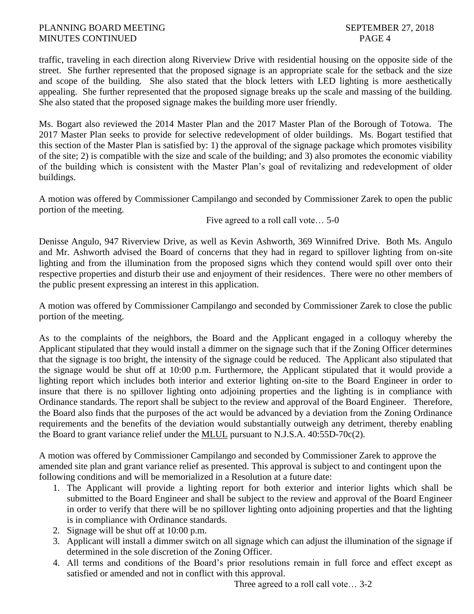# PLANNING BOARD MEETING SEPTEMBER 27, 2018 MINUTES CONTINUED PAGE 4

traffic, traveling in each direction along Riverview Drive with residential housing on the opposite side of the street. She further represented that the proposed signage is an appropriate scale for the setback and the size and scope of the building. She also stated that the block letters with LED lighting is more aesthetically appealing. She further represented that the proposed signage breaks up the scale and massing of the building. She also stated that the proposed signage makes the building more user friendly.

Ms. Bogart also reviewed the 2014 Master Plan and the 2017 Master Plan of the Borough of Totowa. The 2017 Master Plan seeks to provide for selective redevelopment of older buildings. Ms. Bogart testified that this section of the Master Plan is satisfied by: 1) the approval of the signage package which promotes visibility of the site; 2) is compatible with the size and scale of the building; and 3) also promotes the economic viability of the building which is consistent with the Master Plan's goal of revitalizing and redevelopment of older buildings.

A motion was offered by Commissioner Campilango and seconded by Commissioner Zarek to open the public portion of the meeting.

Five agreed to a roll call vote… 5-0

Denisse Angulo, 947 Riverview Drive, as well as Kevin Ashworth, 369 Winnifred Drive. Both Ms. Angulo and Mr. Ashworth advised the Board of concerns that they had in regard to spillover lighting from on-site lighting and from the illumination from the proposed signs which they contend would spill over onto their respective properties and disturb their use and enjoyment of their residences. There were no other members of the public present expressing an interest in this application.

A motion was offered by Commissioner Campilango and seconded by Commissioner Zarek to close the public portion of the meeting.

As to the complaints of the neighbors, the Board and the Applicant engaged in a colloquy whereby the Applicant stipulated that they would install a dimmer on the signage such that if the Zoning Officer determines that the signage is too bright, the intensity of the signage could be reduced. The Applicant also stipulated that the signage would be shut off at 10:00 p.m. Furthermore, the Applicant stipulated that it would provide a lighting report which includes both interior and exterior lighting on-site to the Board Engineer in order to insure that there is no spillover lighting onto adjoining properties and the lighting is in compliance with Ordinance standards. The report shall be subject to the review and approval of the Board Engineer. Therefore, the Board also finds that the purposes of the act would be advanced by a deviation from the Zoning Ordinance requirements and the benefits of the deviation would substantially outweigh any detriment, thereby enabling the Board to grant variance relief under the MLUL pursuant to N.J.S.A. 40:55D-70c(2).

A motion was offered by Commissioner Campilango and seconded by Commissioner Zarek to approve the amended site plan and grant variance relief as presented. This approval is subject to and contingent upon the following conditions and will be memorialized in a Resolution at a future date:

- 1. The Applicant will provide a lighting report for both exterior and interior lights which shall be submitted to the Board Engineer and shall be subject to the review and approval of the Board Engineer in order to verify that there will be no spillover lighting onto adjoining properties and that the lighting is in compliance with Ordinance standards.
- 2. Signage will be shut off at 10:00 p.m.
- 3. Applicant will install a dimmer switch on all signage which can adjust the illumination of the signage if determined in the sole discretion of the Zoning Officer.
- 4. All terms and conditions of the Board's prior resolutions remain in full force and effect except as satisfied or amended and not in conflict with this approval.

Three agreed to a roll call vote… 3-2